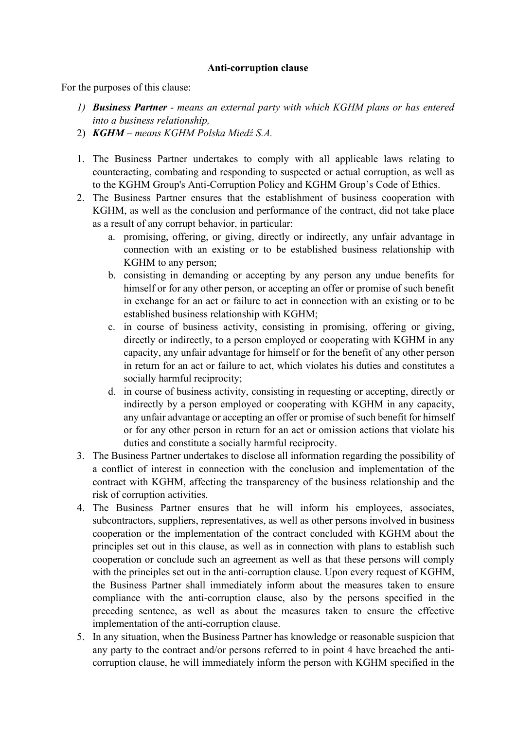## **Anti-corruption clause**

For the purposes of this clause:

- *1) Business Partner - means an external party with which KGHM plans or has entered into a business relationship,*
- 2) *KGHM – means KGHM Polska Miedź S.A.*
- 1. The Business Partner undertakes to comply with all applicable laws relating to counteracting, combating and responding to suspected or actual corruption, as well as to the KGHM Group's Anti-Corruption Policy and KGHM Group's Code of Ethics.
- 2. The Business Partner ensures that the establishment of business cooperation with KGHM, as well as the conclusion and performance of the contract, did not take place as a result of any corrupt behavior, in particular:
	- a. promising, offering, or giving, directly or indirectly, any unfair advantage in connection with an existing or to be established business relationship with KGHM to any person;
	- b. consisting in demanding or accepting by any person any undue benefits for himself or for any other person, or accepting an offer or promise of such benefit in exchange for an act or failure to act in connection with an existing or to be established business relationship with KGHM;
	- c. in course of business activity, consisting in promising, offering or giving, directly or indirectly, to a person employed or cooperating with KGHM in any capacity, any unfair advantage for himself or for the benefit of any other person in return for an act or failure to act, which violates his duties and constitutes a socially harmful reciprocity;
	- d. in course of business activity, consisting in requesting or accepting, directly or indirectly by a person employed or cooperating with KGHM in any capacity, any unfair advantage or accepting an offer or promise of such benefit for himself or for any other person in return for an act or omission actions that violate his duties and constitute a socially harmful reciprocity.
- 3. The Business Partner undertakes to disclose all information regarding the possibility of a conflict of interest in connection with the conclusion and implementation of the contract with KGHM, affecting the transparency of the business relationship and the risk of corruption activities.
- 4. The Business Partner ensures that he will inform his employees, associates, subcontractors, suppliers, representatives, as well as other persons involved in business cooperation or the implementation of the contract concluded with KGHM about the principles set out in this clause, as well as in connection with plans to establish such cooperation or conclude such an agreement as well as that these persons will comply with the principles set out in the anti-corruption clause. Upon every request of KGHM, the Business Partner shall immediately inform about the measures taken to ensure compliance with the anti-corruption clause, also by the persons specified in the preceding sentence, as well as about the measures taken to ensure the effective implementation of the anti-corruption clause.
- 5. In any situation, when the Business Partner has knowledge or reasonable suspicion that any party to the contract and/or persons referred to in point 4 have breached the anticorruption clause, he will immediately inform the person with KGHM specified in the